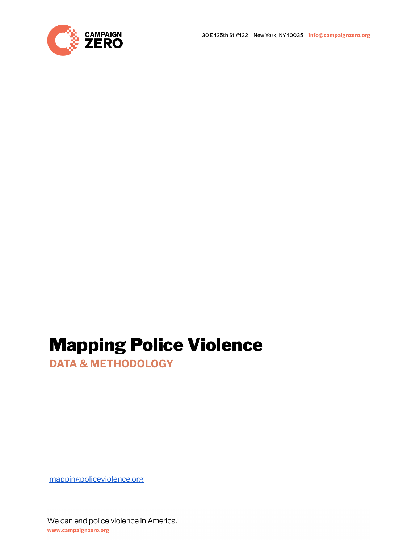

# Mapping Police Violence

**DATA & METHODOLOGY**

[mappingpoliceviolence.org](http://mappingpoliceviolence.org)

We can end police violence in America. www.campaignzero.org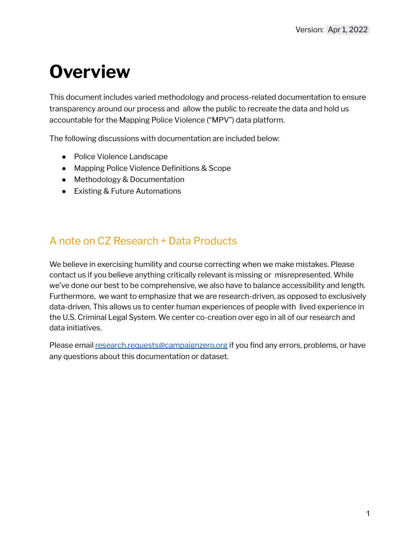# **Overview**

This document includes varied methodology and process-related documentation to ensure transparency around our process and allow the public to recreate the data and hold us accountable for the Mapping Police Violence ("MPV") data platform.

The following discussions with documentation are included below:

- Police Violence Landscape
- Mapping Police Violence Definitions & Scope
- Methodology & Documentation
- Existing & Future Automations

### A note on CZ Research + Data Products

We believe in exercising humility and course correcting when we make mistakes. Please contact us if you believe anything critically relevant is missing or misrepresented. While we've done our best to be comprehensive, we also have to balance accessibility and length. Furthermore, we want to emphasize that we are research-driven, as opposed to exclusively data-driven. This allows us to center human experiences of people with lived experience in the U.S. Criminal Legal System. We center co-creation over ego in all of our research and data initiatives.

Please email [research.requests@campaignzero.org](mailto:research.requests@campaignzero.org) if you find any errors, problems, or have any questions about this documentation or dataset.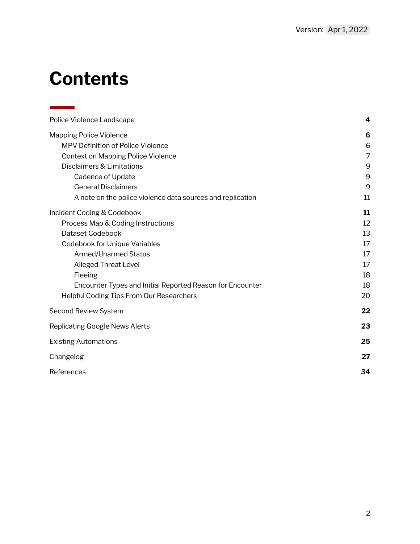# **Contents**

<u> 1999 - Jan Ja</u>

| Police Violence Landscape                                  | 4              |
|------------------------------------------------------------|----------------|
| <b>Mapping Police Violence</b>                             | 6              |
| MPV Definition of Police Violence                          | 6              |
| Context on Mapping Police Violence                         | $\overline{7}$ |
| Disclaimers & Limitations                                  | 9              |
| Cadence of Update                                          | 9              |
| <b>General Disclaimers</b>                                 | 9              |
| A note on the police violence data sources and replication | 11             |
| Incident Coding & Codebook                                 | 11             |
| Process Map & Coding Instructions                          | 12             |
| Dataset Codebook                                           | 13             |
| <b>Codebook for Unique Variables</b>                       | 17             |
| <b>Armed/Unarmed Status</b>                                | 17             |
| <b>Alleged Threat Level</b>                                | 17             |
| Fleeing                                                    | 18             |
| Encounter Types and Initial Reported Reason for Encounter  | 18             |
| Helpful Coding Tips From Our Researchers                   | 20             |
| Second Review System                                       | 22             |
| <b>Replicating Google News Alerts</b>                      | 23             |
| <b>Existing Automations</b>                                | 25             |
| Changelog                                                  | 27             |
| References                                                 | 34             |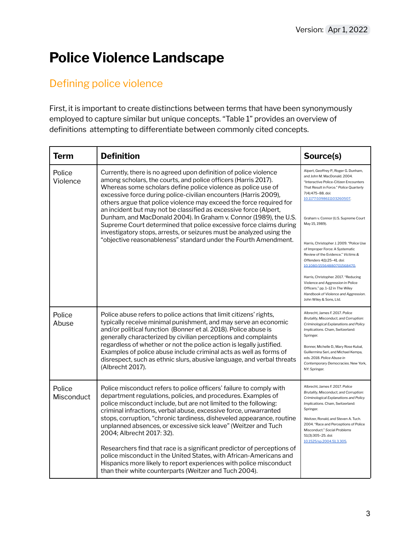# <span id="page-3-0"></span>**Police Violence Landscape**

### Defining police violence

First, it is important to create distinctions between terms that have been synonymously employed to capture similar but unique concepts. "Table 1" provides an overview of definitions attempting to differentiate between commonly cited concepts.

| <b>Term</b>          | <b>Definition</b>                                                                                                                                                                                                                                                                                                                                                                                                                                                                                                                                                                                                                                                                                                                     | Source(s)                                                                                                                                                                                                                                                                                                                                                                                                                                                                                                                                                                                                                                   |
|----------------------|---------------------------------------------------------------------------------------------------------------------------------------------------------------------------------------------------------------------------------------------------------------------------------------------------------------------------------------------------------------------------------------------------------------------------------------------------------------------------------------------------------------------------------------------------------------------------------------------------------------------------------------------------------------------------------------------------------------------------------------|---------------------------------------------------------------------------------------------------------------------------------------------------------------------------------------------------------------------------------------------------------------------------------------------------------------------------------------------------------------------------------------------------------------------------------------------------------------------------------------------------------------------------------------------------------------------------------------------------------------------------------------------|
| Police<br>Violence   | Currently, there is no agreed upon definition of police violence<br>among scholars, the courts, and police officers (Harris 2017).<br>Whereas some scholars define police violence as police use of<br>excessive force during police-civilian encounters (Harris 2009),<br>others argue that police violence may exceed the force required for<br>an incident but may not be classified as excessive force (Alpert,<br>Dunham, and MacDonald 2004). In Graham v. Connor (1989), the U.S.<br>Supreme Court determined that police excessive force claims during<br>investigatory stops, arrests, or seizures must be analyzed using the<br>"objective reasonableness" standard under the Fourth Amendment.                             | Alpert, Geoffrey P., Roger G. Dunham,<br>and John M. MacDonald. 2004.<br>"Interactive Police-Citizen Encounters<br>That Result in Force." Police Quarterly<br>7(4):475-88. doi:<br>10.1177/1098611103260507.<br>Graham v. Connor (U.S. Supreme Court<br>May 15, 1989).<br>Harris, Christopher J. 2009. "Police Use<br>of Improper Force: A Systematic<br>Review of the Evidence." Victims &<br>Offenders 4(1):25-41. doi:<br>10.1080/15564880701568470.<br>Harris, Christopher. 2017. "Reducing<br>Violence and Aggression in Police<br>Officers." pp. 1-12 in The Wiley<br>Handbook of Violence and Aggression.<br>John Wiley & Sons, Ltd. |
| Police<br>Abuse      | Police abuse refers to police actions that limit citizens' rights,<br>typically receive minimal punishment, and may serve an economic<br>and/or political function (Bonner et al. 2018). Police abuse is<br>generally characterized by civilian perceptions and complaints<br>regardless of whether or not the police action is legally justified.<br>Examples of police abuse include criminal acts as well as forms of<br>disrespect, such as ethnic slurs, abusive language, and verbal threats<br>(Albrecht 2017).                                                                                                                                                                                                                | Albrecht, James F. 2017. Police<br>Brutality, Misconduct, and Corruption:<br>Criminological Explanations and Policy<br>Implications. Cham, Switzerland:<br>Springer.<br>Bonner, Michelle D., Mary Rose Kubal,<br>Guillermina Seri, and Michael Kempa,<br>eds. 2018. Police Abuse in<br>Contemporary Democracies. New York,<br>NY: Springer.                                                                                                                                                                                                                                                                                                 |
| Police<br>Misconduct | Police misconduct refers to police officers' failure to comply with<br>department regulations, policies, and procedures. Examples of<br>police misconduct include, but are not limited to the following:<br>criminal infractions, verbal abuse, excessive force, unwarranted<br>stops, corruption, "chronic tardiness, disheveled appearance, routine<br>unplanned absences, or excessive sick leave" (Weitzer and Tuch<br>2004; Albrecht 2017: 32).<br>Researchers find that race is a significant predictor of perceptions of<br>police misconduct in the United States, with African-Americans and<br>Hispanics more likely to report experiences with police misconduct<br>than their white counterparts (Weitzer and Tuch 2004). | Albrecht, James F. 2017. Police<br>Brutality, Misconduct, and Corruption:<br>Criminological Explanations and Policy<br>Implications. Cham, Switzerland:<br>Springer.<br>Weitzer, Ronald, and Steven A. Tuch.<br>2004. "Race and Perceptions of Police<br>Misconduct." Social Problems<br>51(3):305-25. doi:<br>10.1525/sp.2004.51.3.305.                                                                                                                                                                                                                                                                                                    |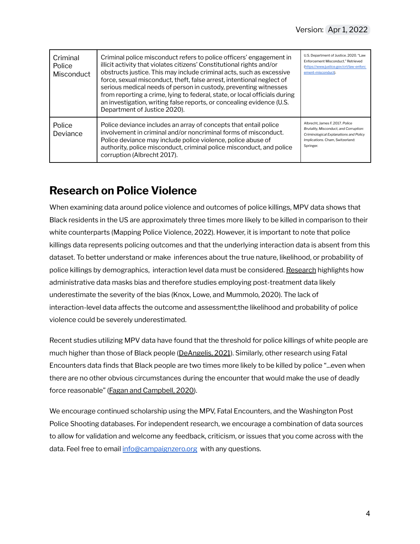| Criminal<br>Police<br><b>Misconduct</b> | Criminal police misconduct refers to police officers' engagement in<br>illicit activity that violates citizens' Constitutional rights and/or<br>obstructs justice. This may include criminal acts, such as excessive<br>force, sexual misconduct, theft, false arrest, intentional neglect of<br>serious medical needs of person in custody, preventing witnesses<br>from reporting a crime, lying to federal, state, or local officials during<br>an investigation, writing false reports, or concealing evidence (U.S.<br>Department of Justice 2020). | U.S. Department of Justice. 2020. "Law<br>Enforcement Misconduct." Retrieved<br>(https://www.justice.gov/crt/law-enforc<br>ement-misconduct).                        |
|-----------------------------------------|----------------------------------------------------------------------------------------------------------------------------------------------------------------------------------------------------------------------------------------------------------------------------------------------------------------------------------------------------------------------------------------------------------------------------------------------------------------------------------------------------------------------------------------------------------|----------------------------------------------------------------------------------------------------------------------------------------------------------------------|
| Police<br>Deviance                      | Police deviance includes an array of concepts that entail police<br>involvement in criminal and/or noncriminal forms of misconduct.<br>Police deviance may include police violence, police abuse of<br>authority, police misconduct, criminal police misconduct, and police<br>corruption (Albrecht 2017).                                                                                                                                                                                                                                               | Albrecht, James F. 2017. Police<br>Brutality, Misconduct, and Corruption:<br>Criminological Explanations and Policy<br>Implications. Cham, Switzerland:<br>Springer. |

### **Research on Police Violence**

When examining data around police violence and outcomes of police killings, MPV data shows that Black residents in the US are approximately three times more likely to be killed in comparison to their white counterparts (Mapping Police Violence, 2022). However, it is important to note that police killings data represents policing outcomes and that the underlying interaction data is absent from this dataset. To better understand or make inferences about the true nature, likelihood, or probability of police killings by demographics, interaction level data must be considered. [Research](https://scholar.princeton.edu/jmummolo/publications/bias-built-how-administrative-records-mask-racially-biased-policing) highlights how administrative data masks bias and therefore studies employing post-treatment data likely underestimate the severity of the bias (Knox, Lowe, and Mummolo, 2020). The lack of interaction-level data affects the outcome and assessment;the likelihood and probability of police violence could be severely underestimated.

Recent studies utilizing MPV data have found that the threshold for police killings of white people are much higher than those of Black people ([DeAngelis,](https://journals.sagepub.com/doi/full/10.1177/21533687211047943) 2021). Similarly, other research using Fatal Encounters data finds that Black people are two times more likely to be killed by police "...even when there are no other obvious circumstances during the encounter that would make the use of deadly force reasonable" (Fagan and [Campbell,](https://scholarship.law.columbia.edu/faculty_scholarship/2656/) 2020).

We encourage continued scholarship using the MPV, Fatal Encounters, and the Washington Post Police Shooting databases. For independent research, we encourage a combination of data sources to allow for validation and welcome any feedback, criticism, or issues that you come across with the data. Feel free to email [info@campaignzero.org](mailto:info@campaignzero.org) with any questions.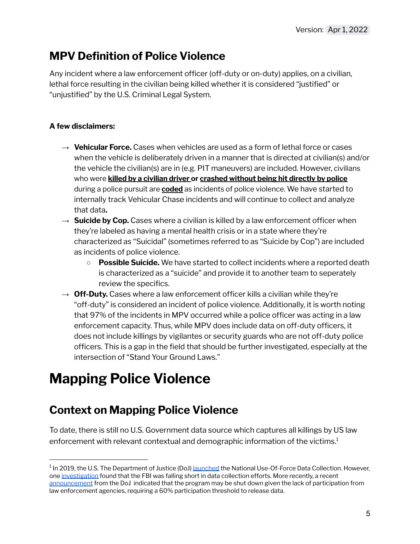### <span id="page-5-1"></span>**MPV Definition of Police Violence**

Any incident where a law enforcement officer (off-duty or on-duty) applies, on a civilian, lethal force resulting in the civilian being killed whether it is considered "justified" or "unjustified" by the U.S. Criminal Legal System.

#### **A few disclaimers:**

- → **Vehicular Force.** Cases when vehicles are used as a form of lethal force or cases when the vehicle is deliberately driven in a manner that is directed at civilian(s) and/or the vehicle the civilian(s) are in (e.g. PIT maneuvers) are included. However, civilians who were **killed by a civilian driver or crashed without being hit directly by police** during a police pursuit are **coded** as incidents of police violence. We have started to internally track Vehicular Chase incidents and will continue to collect and analyze that data**.**
- **→ Suicide by Cop.** Cases where a civilian is killed by a law enforcement officer when they're labeled as having a mental health crisis or in a state where they're characterized as "Suicidal" (sometimes referred to as "Suicide by Cop") are included as incidents of police violence.
	- **○ Possible Suicide.** We have started to collect incidents where a reported death is characterized as a "suicide" and provide it to another team to seperately review the specifics.
- **→ Off-Duty.** Cases where a law enforcement officer kills a civilian while they're "off-duty" is considered an incident of police violence. Additionally, it is worth noting that 97% of the incidents in MPV occurred while a police officer was acting in a law enforcement capacity. Thus, while MPV does include data on off-duty officers, it does not include killings by vigilantes or security guards who are not off-duty police officers. This is a gap in the field that should be further investigated, especially at the intersection of "Stand Your Ground Laws."

# <span id="page-5-0"></span>**Mapping Police Violence**

### **Context on Mapping Police Violence**

To date, there is still no U.S. Government data source which captures all killings by US law enforcement with relevant contextual and demographic information of the victims. 1

<sup>&</sup>lt;sup>1</sup> In 2019, the U.S. The Department of Justice (DoJ) <u>[launched](https://www.fbi.gov/news/pressrel/press-releases/fbi-announces-the-official-launch-of-the-national-use-of-force-data-collection#:~:text=The%20FBI%20is%20pleased%20to,Crime%20Reporting%20(UCR)%20Program.)</u> the National Use-Of-Force Data Collection. However, one [investigation](https://www.washingtonpost.com/crime-law/2021/12/09/fbi-police-shooting-data/) found that the FBI was falling short in data collection efforts. More recently, a recent [announcement](https://www.washingtonpost.com/crime-law/2021/12/09/fbi-police-shooting-data/) from the DoJ indicated that the program may be shut down given the lack of participation from law enforcement agencies, requiring a 60% participation threshold to release data.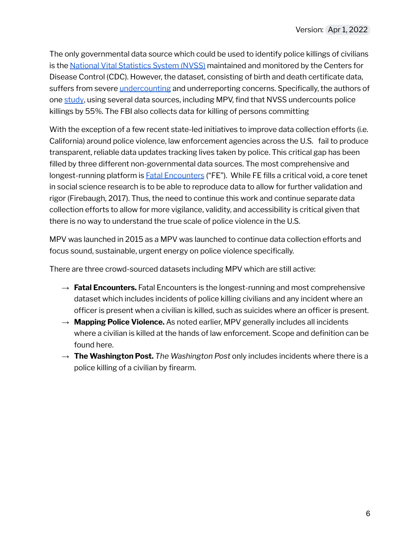The only governmental data source which could be used to identify police killings of civilians is the National Vital [Statistics](https://www.cdc.gov/nchs/nvss/index.htm) System (NVSS) maintained and monitored by the Centers for Disease Control (CDC). However, the dataset, consisting of birth and death certificate data, suffers from severe [undercounting](https://www.thelancet.com/journals/lancet/article/PIIS0140-6736(21)01609-3/fulltext) and underreporting concerns. Specifically, the authors of one [study](https://www.thelancet.com/journals/lancet/article/PIIS0140-6736(21)01609-3/fulltext), using several data sources, including MPV, find that NVSS undercounts police killings by 55%. The FBI also collects data for killing of persons committing

With the exception of a few recent state-led initiatives to improve data collection efforts (i.e. California) around police violence, law enforcement agencies across the U.S. fail to produce transparent, reliable data updates tracking lives taken by police. This critical gap has been filled by three different non-governmental data sources. The most comprehensive and longest-running platform is **Fatal [Encounters](https://fatalencounters.org/) ("FE").** While FE fills a critical void, a core tenet in social science research is to be able to reproduce data to allow for further validation and rigor (Firebaugh, 2017). Thus, the need to continue this work and continue separate data collection efforts to allow for more vigilance, validity, and accessibility is critical given that there is no way to understand the true scale of police violence in the U.S.

MPV was launched in 2015 as a MPV was launched to continue data collection efforts and focus sound, sustainable, urgent energy on police violence specifically.

There are three crowd-sourced datasets including MPV which are still active:

- **→ Fatal Encounters.** Fatal Encounters is the longest-running and most comprehensive dataset which includes incidents of police killing civilians and any incident where an officer is present when a civilian is killed, such as suicides where an officer is present.
- **→ Mapping Police Violence.** As noted earlier, MPV generally includes all incidents where a civilian is killed at the hands of law enforcement. Scope and definition can be found here.
- **→ The Washington Post.** *The Washington Post* only includes incidents where there is a police killing of a civilian by firearm.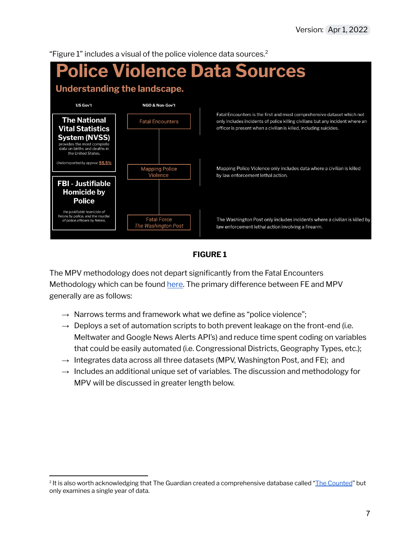"Figure 1" includes a visual of the police violence data sources. 2



#### **FIGURE 1**

The MPV methodology does not depart significantly from the Fatal Encounters Methodology which can be found [here.](https://docs.google.com/document/d/144EdyxC6Fm7ygrzCOHd5V2K6l-8IsS38rET8MivkNbU/edit?usp=sharing) The primary difference between FE and MPV generally are as follows:

- $\rightarrow$  Narrows terms and framework what we define as "police violence";
- $\rightarrow$  Deploys a set of automation scripts to both prevent leakage on the front-end (i.e. Meltwater and Google News Alerts API's) and reduce time spent coding on variables that could be easily automated (i.e. Congressional Districts, Geography Types, etc.);
- $\rightarrow$  Integrates data across all three datasets (MPV, Washington Post, and FE); and
- $\rightarrow$  Includes an additional unique set of variables. The discussion and methodology for MPV will be discussed in greater length below.

<sup>&</sup>lt;sup>2</sup> It is also worth acknowledging that The Guardian created a comprehensive database called "<u>The [Counted](https://www.theguardian.com/us-news/ng-interactive/2015/jun/01/the-counted-police-killings-us-database)</u>" but only examines a single year of data.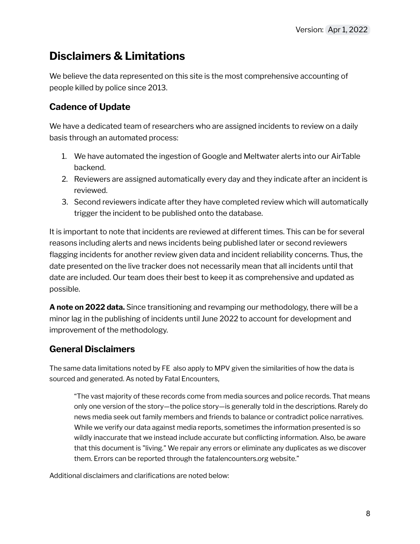### <span id="page-8-0"></span>**Disclaimers & Limitations**

We believe the data represented on this site is the most comprehensive accounting of people killed by police since 2013.

#### <span id="page-8-1"></span>**Cadence of Update**

We have a dedicated team of researchers who are assigned incidents to review on a daily basis through an automated process:

- 1. We have automated the ingestion of Google and Meltwater alerts into our AirTable backend.
- 2. Reviewers are assigned automatically every day and they indicate after an incident is reviewed.
- 3. Second reviewers indicate after they have completed review which will automatically trigger the incident to be published onto the database.

It is important to note that incidents are reviewed at different times. This can be for several reasons including alerts and news incidents being published later or second reviewers flagging incidents for another review given data and incident reliability concerns. Thus, the date presented on the live tracker does not necessarily mean that all incidents until that date are included. Our team does their best to keep it as comprehensive and updated as possible.

**A note on 2022 data.** Since transitioning and revamping our methodology, there will be a minor lag in the publishing of incidents until June 2022 to account for development and improvement of the methodology.

#### <span id="page-8-2"></span>**General Disclaimers**

The same data limitations noted by FE also apply to MPV given the similarities of how the data is sourced and generated. As noted by Fatal Encounters,

"The vast majority of these records come from media sources and police records. That means only one version of the story—the police story—is generally told in the descriptions. Rarely do news media seek out family members and friends to balance or contradict police narratives. While we verify our data against media reports, sometimes the information presented is so wildly inaccurate that we instead include accurate but conflicting information. Also, be aware that this document is "living." We repair any errors or eliminate any duplicates as we discover them. Errors can be reported through the fatalencounters.org website."

Additional disclaimers and clarifications are noted below: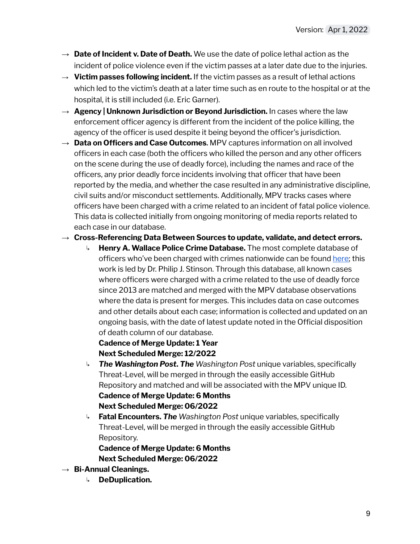- **→ Date of Incident v. Date of Death.** We use the date of police lethal action as the incident of police violence even if the victim passes at a later date due to the injuries.
- **→ Victim passes following incident.** If the victim passes as a result of lethal actions which led to the victim's death at a later time such as en route to the hospital or at the hospital, it is still included (i.e. Eric Garner).
- **→ Agency | Unknown Jurisdiction or Beyond Jurisdiction.** In cases where the law enforcement officer agency is different from the incident of the police killing, the agency of the officer is used despite it being beyond the officer's jurisdiction.
- **→ Data on Officers and Case Outcomes.** MPV captures information on all involved officers in each case (both the officers who killed the person and any other officers on the scene during the use of deadly force), including the names and race of the officers, any prior deadly force incidents involving that officer that have been reported by the media, and whether the case resulted in any administrative discipline, civil suits and/or misconduct settlements. Additionally, MPV tracks cases where officers have been charged with a crime related to an incident of fatal police violence. This data is collected initially from ongoing monitoring of media reports related to each case in our database.

#### **→ Cross-Referencing Data Between Sources to update, validate, and detect errors.**

↳ **Henry A. Wallace Police Crime [Database](https://policecrime.bgsu.edu/).** The most complete database of officers who've been charged with crimes nationwide can be found [here;](https://policecrime.bgsu.edu/Home/About) this work is led by Dr. Philip J. Stinson. Through this database, all known cases where officers were charged with a crime related to the use of deadly force since 2013 are matched and merged with the MPV database observations where the data is present for merges. This includes data on case outcomes and other details about each case; information is collected and updated on an ongoing basis, with the date of latest update noted in the Official disposition of death column of our database.

#### **Cadence of Merge Update: 1 Year Next Scheduled Merge: 12/2022**

- ↳ *The Washington Post***.** *The Washington Post* unique variables, specifically Threat-Level, will be merged in through the easily accessible GitHub Repository and matched and will be associated with the MPV unique ID. **Cadence of Merge Update: 6 Months Next Scheduled Merge: 06/2022**
- ↳ **Fatal Encounters.** *The Washington Post* unique variables, specifically Threat-Level, will be merged in through the easily accessible GitHub Repository.

**Cadence of Merge Update: 6 Months Next Scheduled Merge: 06/2022**

- **→ Bi-Annual Cleanings.**
	- ↳ **DeDuplication.**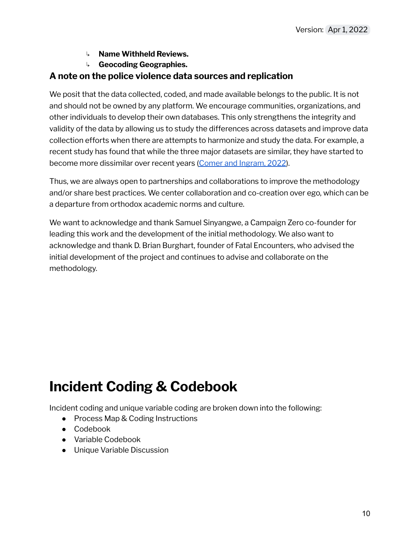- ↳ **Name Withheld Reviews.**
- ↳ **Geocoding Geographies.**

#### **A note on the police violence data sources and replication**

We posit that the data collected, coded, and made available belongs to the public. It is not and should not be owned by any platform. We encourage communities, organizations, and other individuals to develop their own databases. This only strengthens the integrity and validity of the data by allowing us to study the differences across datasets and improve data collection efforts when there are attempts to harmonize and study the data. For example, a recent study has found that while the three major datasets are similar, they have started to become more dissimilar over recent years (Comer and [Ingram,](https://journals.sagepub.com/doi/abs/10.1177/07340168211071014) 2022).

Thus, we are always open to partnerships and collaborations to improve the methodology and/or share best practices. We center collaboration and co-creation over ego, which can be a departure from orthodox academic norms and culture.

We want to acknowledge and thank Samuel Sinyangwe, a Campaign Zero co-founder for leading this work and the development of the initial methodology. We also want to acknowledge and thank D. Brian Burghart, founder of Fatal Encounters, who advised the initial development of the project and continues to advise and collaborate on the methodology.

# <span id="page-10-1"></span><span id="page-10-0"></span>**Incident Coding & Codebook**

Incident coding and unique variable coding are broken down into the following:

- Process Map & Coding Instructions
- Codebook
- Variable Codebook
- Unique Variable Discussion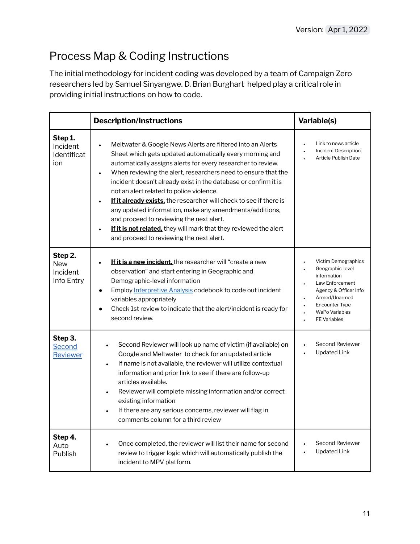### <span id="page-11-0"></span>Process Map & Coding Instructions

The initial methodology for incident coding was developed by a team of Campaign Zero researchers led by Samuel Sinyangwe. D. Brian Burghart helped play a critical role in providing initial instructions on how to code.

|                                                 | <b>Description/Instructions</b>                                                                                                                                                                                                                                                                                                                                                                                                                                                                                                                                                                                                                                      | Variable(s)                                                                                                                                                                    |
|-------------------------------------------------|----------------------------------------------------------------------------------------------------------------------------------------------------------------------------------------------------------------------------------------------------------------------------------------------------------------------------------------------------------------------------------------------------------------------------------------------------------------------------------------------------------------------------------------------------------------------------------------------------------------------------------------------------------------------|--------------------------------------------------------------------------------------------------------------------------------------------------------------------------------|
| Step 1.<br>Incident<br>Identificat<br>ion       | Meltwater & Google News Alerts are filtered into an Alerts<br>Sheet which gets updated automatically every morning and<br>automatically assigns alerts for every researcher to review.<br>When reviewing the alert, researchers need to ensure that the<br>incident doesn't already exist in the database or confirm it is<br>not an alert related to police violence.<br>If it already exists, the researcher will check to see if there is<br>any updated information, make any amendments/additions,<br>and proceed to reviewing the next alert.<br>If it is not related, they will mark that they reviewed the alert<br>and proceed to reviewing the next alert. | Link to news article<br>Incident Description<br>Article Publish Date                                                                                                           |
| Step 2.<br><b>New</b><br>Incident<br>Info Entry | If it is a new incident, the researcher will "create a new<br>observation" and start entering in Geographic and<br>Demographic-level information<br>Employ Interpretive Analysis codebook to code out incident<br>variables appropriately<br>Check 1st review to indicate that the alert/incident is ready for<br>second review.                                                                                                                                                                                                                                                                                                                                     | Victim Demographics<br>Geographic-level<br>information<br>Law Enforcement<br>Agency & Officer Info<br>Armed/Unarmed<br>Encounter Type<br>WaPo Variables<br><b>FE Variables</b> |
| Step 3.<br>Second<br>Reviewer                   | Second Reviewer will look up name of victim (if available) on<br>$\bullet$<br>Google and Meltwater to check for an updated article<br>If name is not available, the reviewer will utilize contextual<br>$\bullet$<br>information and prior link to see if there are follow-up<br>articles available.<br>Reviewer will complete missing information and/or correct<br>$\bullet$<br>existing information<br>If there are any serious concerns, reviewer will flag in<br>comments column for a third review                                                                                                                                                             | Second Reviewer<br><b>Updated Link</b>                                                                                                                                         |
| Step 4.<br>Auto<br>Publish                      | Once completed, the reviewer will list their name for second<br>$\bullet$<br>review to trigger logic which will automatically publish the<br>incident to MPV platform.                                                                                                                                                                                                                                                                                                                                                                                                                                                                                               | <b>Second Reviewer</b><br><b>Updated Link</b>                                                                                                                                  |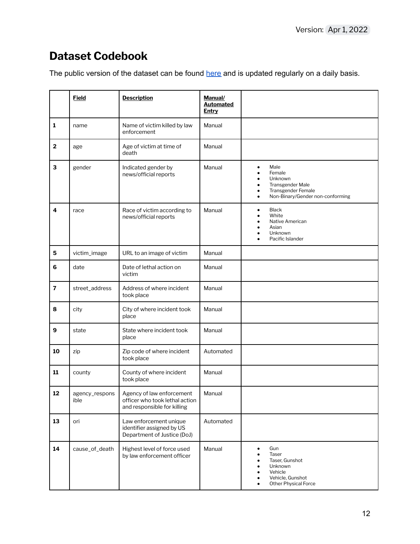### <span id="page-12-0"></span>**Dataset Codebook**

The public version of the dataset can be found [here](https://airtable.com/shroOenW19l1m3w0H) and is updated regularly on a daily basis.

|                         | <b>Field</b>           | <b>Description</b>                                                                         | Manual/<br><b>Automated</b><br><b>Entry</b> |                                                                                                                      |
|-------------------------|------------------------|--------------------------------------------------------------------------------------------|---------------------------------------------|----------------------------------------------------------------------------------------------------------------------|
| $\mathbf{1}$            | name                   | Name of victim killed by law<br>enforcement                                                | Manual                                      |                                                                                                                      |
| $\overline{2}$          | age                    | Age of victim at time of<br>death                                                          | Manual                                      |                                                                                                                      |
| 3                       | gender                 | Indicated gender by<br>news/official reports                                               | Manual                                      | Male<br>$\bullet$<br>Female<br>Unknown<br>Transgender Male<br>Transgender Female<br>Non-Binary/Gender non-conforming |
| 4                       | race                   | Race of victim according to<br>news/official reports                                       | Manual                                      | <b>Black</b><br>$\bullet$<br>White<br>Native American<br>Asian<br>Unknown<br>Pacific Islander                        |
| 5                       | victim_image           | URL to an image of victim                                                                  | Manual                                      |                                                                                                                      |
| 6                       | date                   | Date of lethal action on<br>victim                                                         | Manual                                      |                                                                                                                      |
| $\overline{\mathbf{z}}$ | street_address         | Address of where incident<br>took place                                                    | Manual                                      |                                                                                                                      |
| 8                       | city                   | City of where incident took<br>place                                                       | Manual                                      |                                                                                                                      |
| 9                       | state                  | State where incident took<br>place                                                         | Manual                                      |                                                                                                                      |
| 10                      | zip                    | Zip code of where incident<br>took place                                                   | Automated                                   |                                                                                                                      |
| 11                      | county                 | County of where incident<br>took place                                                     | Manual                                      |                                                                                                                      |
| 12                      | agency_respons<br>ible | Agency of law enforcement<br>officer who took lethal action<br>and responsible for killing | Manual                                      |                                                                                                                      |
| 13                      | ori                    | Law enforcement unique<br>identifier assigned by US<br>Department of Justice (DoJ)         | Automated                                   |                                                                                                                      |
| 14                      | cause_of_death         | Highest level of force used<br>by law enforcement officer                                  | Manual                                      | Gun<br>٠<br>Taser<br>Taser, Gunshot<br>Unknown<br>Vehicle<br>Vehicle, Gunshot<br>Other Physical Force                |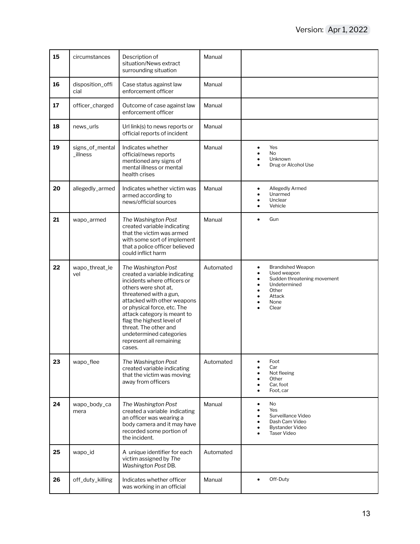| 15 | circumstances              | Description of<br>situation/News extract<br>surrounding situation                                                                                                                                                                                                                                                                                        | Manual    |                                                                                                                                 |
|----|----------------------------|----------------------------------------------------------------------------------------------------------------------------------------------------------------------------------------------------------------------------------------------------------------------------------------------------------------------------------------------------------|-----------|---------------------------------------------------------------------------------------------------------------------------------|
| 16 | disposition_offi<br>cial   | Case status against law<br>enforcement officer                                                                                                                                                                                                                                                                                                           | Manual    |                                                                                                                                 |
| 17 | officer_charged            | Outcome of case against law<br>enforcement officer                                                                                                                                                                                                                                                                                                       | Manual    |                                                                                                                                 |
| 18 | news_urls                  | Url link(s) to news reports or<br>official reports of incident                                                                                                                                                                                                                                                                                           | Manual    |                                                                                                                                 |
| 19 | signs_of_mental<br>illness | Indicates whether<br>official/news reports<br>mentioned any signs of<br>mental illness or mental<br>health crises                                                                                                                                                                                                                                        | Manual    | Yes<br><b>No</b><br>Unknown<br>Drug or Alcohol Use                                                                              |
| 20 | allegedly_armed            | Indicates whether victim was<br>armed according to<br>news/official sources                                                                                                                                                                                                                                                                              | Manual    | <b>Allegedly Armed</b><br>Unarmed<br>Unclear<br>Vehicle                                                                         |
| 21 | wapo_armed                 | The Washington Post<br>created variable indicating<br>that the victim was armed<br>with some sort of implement<br>that a police officer believed<br>could inflict harm                                                                                                                                                                                   | Manual    | Gun<br>$\bullet$                                                                                                                |
| 22 | wapo_threat_le<br>vel      | The Washington Post<br>created a variable indicating<br>incidents where officers or<br>others were shot at,<br>threatened with a gun,<br>attacked with other weapons<br>or physical force, etc. The<br>attack category is meant to<br>flag the highest level of<br>threat. The other and<br>undetermined categories<br>represent all remaining<br>cases. | Automated | <b>Brandished Weapon</b><br>٠<br>Used weapon<br>Sudden threatening movement<br>Undetermined<br>Other<br>Attack<br>None<br>Clear |
| 23 | wapo_flee                  | The Washington Post<br>created variable indicating<br>that the victim was moving<br>away from officers                                                                                                                                                                                                                                                   | Automated | Foot<br>Car<br>Not fleeing<br>Other<br>Car, foot<br>Foot, car                                                                   |
| 24 | wapo_body_ca<br>mera       | The Washington Post<br>created a variable indicating<br>an officer was wearing a<br>body camera and it may have<br>recorded some portion of<br>the incident.                                                                                                                                                                                             | Manual    | No<br>٠<br>Yes<br>Surveillance Video<br>Dash Cam Video<br><b>Bystander Video</b><br><b>Taser Video</b>                          |
| 25 | wapo_id                    | A unique identifier for each<br>victim assigned by The<br>Washington Post DB.                                                                                                                                                                                                                                                                            | Automated |                                                                                                                                 |
| 26 | off_duty_killing           | Indicates whether officer<br>was working in an official                                                                                                                                                                                                                                                                                                  | Manual    | Off-Duty<br>$\bullet$                                                                                                           |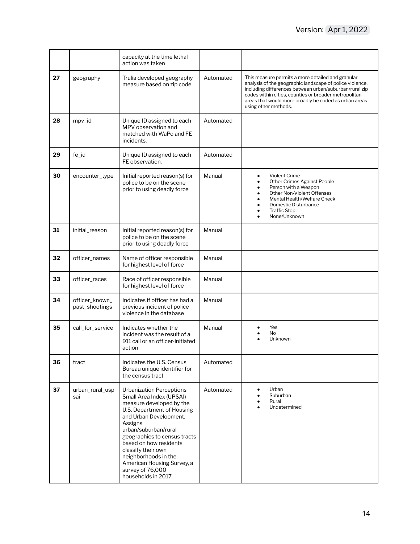|    |                                  | capacity at the time lethal<br>action was taken                                                                                                                                                                                                                                                                                                                     |           |                                                                                                                                                                                                                                                                                                                   |
|----|----------------------------------|---------------------------------------------------------------------------------------------------------------------------------------------------------------------------------------------------------------------------------------------------------------------------------------------------------------------------------------------------------------------|-----------|-------------------------------------------------------------------------------------------------------------------------------------------------------------------------------------------------------------------------------------------------------------------------------------------------------------------|
| 27 | geography                        | Trulia developed geography<br>measure based on zip code                                                                                                                                                                                                                                                                                                             | Automated | This measure permits a more detailed and granular<br>analysis of the geographic landscape of police violence,<br>including differences between urban/suburban/rural zip<br>codes within cities, counties or broader metropolitan<br>areas that would more broadly be coded as urban areas<br>using other methods. |
| 28 | mpv id                           | Unique ID assigned to each<br>MPV observation and<br>matched with WaPo and FE<br>incidents.                                                                                                                                                                                                                                                                         | Automated |                                                                                                                                                                                                                                                                                                                   |
| 29 | fe id                            | Unique ID assigned to each<br>FE observation.                                                                                                                                                                                                                                                                                                                       | Automated |                                                                                                                                                                                                                                                                                                                   |
| 30 | encounter_type                   | Initial reported reason(s) for<br>police to be on the scene<br>prior to using deadly force                                                                                                                                                                                                                                                                          | Manual    | <b>Violent Crime</b><br>$\bullet$<br><b>Other Crimes Against People</b><br>Person with a Weapon<br>Other Non-Violent Offenses<br>Mental Health/Welfare Check<br>Domestic Disturbance<br><b>Traffic Stop</b><br>None/Unknown                                                                                       |
| 31 | initial_reason                   | Initial reported reason(s) for<br>police to be on the scene<br>prior to using deadly force                                                                                                                                                                                                                                                                          | Manual    |                                                                                                                                                                                                                                                                                                                   |
| 32 | officer_names                    | Name of officer responsible<br>for highest level of force                                                                                                                                                                                                                                                                                                           | Manual    |                                                                                                                                                                                                                                                                                                                   |
| 33 | officer_races                    | Race of officer responsible<br>for highest level of force                                                                                                                                                                                                                                                                                                           | Manual    |                                                                                                                                                                                                                                                                                                                   |
| 34 | officer_known_<br>past_shootings | Indicates if officer has had a<br>previous incident of police<br>violence in the database                                                                                                                                                                                                                                                                           | Manual    |                                                                                                                                                                                                                                                                                                                   |
| 35 | call_for_service                 | Indicates whether the<br>incident was the result of a<br>911 call or an officer-initiated<br>action                                                                                                                                                                                                                                                                 | Manual    | Yes<br>No<br>Unknown                                                                                                                                                                                                                                                                                              |
| 36 | tract                            | Indicates the U.S. Census<br>Bureau unique identifier for<br>the census tract                                                                                                                                                                                                                                                                                       | Automated |                                                                                                                                                                                                                                                                                                                   |
| 37 | urban rural usp<br>sai           | <b>Urbanization Perceptions</b><br>Small Area Index (UPSAI)<br>measure developed by the<br>U.S. Department of Housing<br>and Urban Development.<br>Assigns<br>urban/suburban/rural<br>geographies to census tracts<br>based on how residents<br>classify their own<br>neighborhoods in the<br>American Housing Survey, a<br>survey of 76,000<br>households in 2017. | Automated | Urban<br>Suburban<br>Rural<br>Undetermined                                                                                                                                                                                                                                                                        |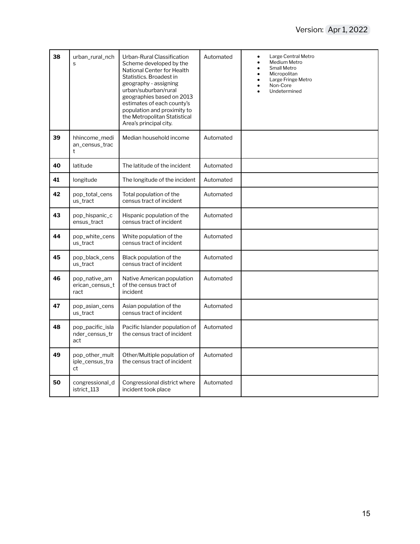| 38 | urban_rural_nch<br>S                      | Urban-Rural Classification<br>Scheme developed by the<br>National Center for Health<br>Statistics. Broadest in<br>geography - assigning<br>urban/suburban/rural<br>geographies based on 2013<br>estimates of each county's<br>population and proximity to<br>the Metropolitan Statistical<br>Area's principal city. | Automated | Large Central Metro<br>$\bullet$<br>Medium Metro<br>Small Metro<br>Micropolitan<br>Large Fringe Metro<br>Non-Core<br>Undetermined |
|----|-------------------------------------------|---------------------------------------------------------------------------------------------------------------------------------------------------------------------------------------------------------------------------------------------------------------------------------------------------------------------|-----------|-----------------------------------------------------------------------------------------------------------------------------------|
| 39 | hhincome_medi<br>an_census_trac<br>t      | Median household income                                                                                                                                                                                                                                                                                             | Automated |                                                                                                                                   |
| 40 | latitude                                  | The latitude of the incident                                                                                                                                                                                                                                                                                        | Automated |                                                                                                                                   |
| 41 | longitude                                 | The longitude of the incident                                                                                                                                                                                                                                                                                       | Automated |                                                                                                                                   |
| 42 | pop_total_cens<br>us_tract                | Total population of the<br>census tract of incident                                                                                                                                                                                                                                                                 | Automated |                                                                                                                                   |
| 43 | pop_hispanic_c<br>ensus_tract             | Hispanic population of the<br>census tract of incident                                                                                                                                                                                                                                                              | Automated |                                                                                                                                   |
| 44 | pop_white_cens<br>us_tract                | White population of the<br>census tract of incident                                                                                                                                                                                                                                                                 | Automated |                                                                                                                                   |
| 45 | pop_black_cens<br>us tract                | Black population of the<br>census tract of incident                                                                                                                                                                                                                                                                 | Automated |                                                                                                                                   |
| 46 | pop_native_am<br>erican_census_t<br>ract  | Native American population<br>of the census tract of<br>incident                                                                                                                                                                                                                                                    | Automated |                                                                                                                                   |
| 47 | pop_asian_cens<br>us tract                | Asian population of the<br>census tract of incident                                                                                                                                                                                                                                                                 | Automated |                                                                                                                                   |
| 48 | pop_pacific_isla<br>nder_census_tr<br>act | Pacific Islander population of<br>the census tract of incident                                                                                                                                                                                                                                                      | Automated |                                                                                                                                   |
| 49 | pop_other_mult<br>iple_census_tra<br>ct   | Other/Multiple population of<br>the census tract of incident                                                                                                                                                                                                                                                        | Automated |                                                                                                                                   |
| 50 | congressional_d<br>istrict_113            | Congressional district where<br>incident took place                                                                                                                                                                                                                                                                 | Automated |                                                                                                                                   |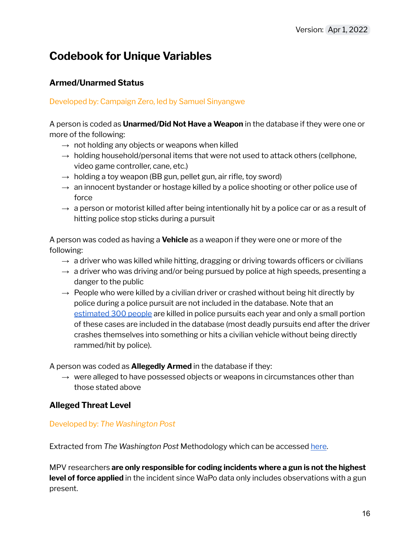### <span id="page-16-0"></span>**Codebook for Unique Variables**

#### <span id="page-16-1"></span>**Armed/Unarmed Status**

#### Developed by: Campaign Zero, led by Samuel Sinyangwe

A person is coded as **Unarmed/Did Not Have a Weapon** in the database if they were one or more of the following:

- $\rightarrow$  not holding any objects or weapons when killed
- $\rightarrow$  holding household/personal items that were not used to attack others (cellphone, video game controller, cane, etc.)
- $\rightarrow$  holding a toy weapon (BB gun, pellet gun, air rifle, toy sword)
- $\rightarrow$  an innocent bystander or hostage killed by a police shooting or other police use of force
- $\rightarrow$  a person or motorist killed after being intentionally hit by a police car or as a result of hitting police stop sticks during a pursuit

A person was coded as having a **Vehicle** as a weapon if they were one or more of the following:

- $\rightarrow$  a driver who was killed while hitting, dragging or driving towards officers or civilians
- $\rightarrow$  a driver who was driving and/or being pursued by police at high speeds, presenting a danger to the public
- $\rightarrow$  People who were killed by a civilian driver or crashed without being hit directly by police during a police pursuit are not included in the database. Note that a[n](https://www.usatoday.com/pages/interactives/blacks-killed-police-chases-higher-rate/) [estimated](https://www.usatoday.com/pages/interactives/blacks-killed-police-chases-higher-rate/) 300 people are killed in police pursuits each year and only a small portion of these cases are included in the database (most deadly pursuits end after the driver crashes themselves into something or hits a civilian vehicle without being directly rammed/hit by police).

A person was coded as **Allegedly Armed** in the database if they:

 $\rightarrow$  were alleged to have possessed objects or weapons in circumstances other than those stated above

#### <span id="page-16-2"></span>**Alleged Threat Level**

#### Developed by: *The Washington Post*

Extracted from *The Washington Post* Methodology which can be accessed [here](https://github.com/washingtonpost/data-police-shootings).

MPV researchers **are only responsible for coding incidents where a gun is not the highest level of force applied** in the incident since WaPo data only includes observations with a gun present.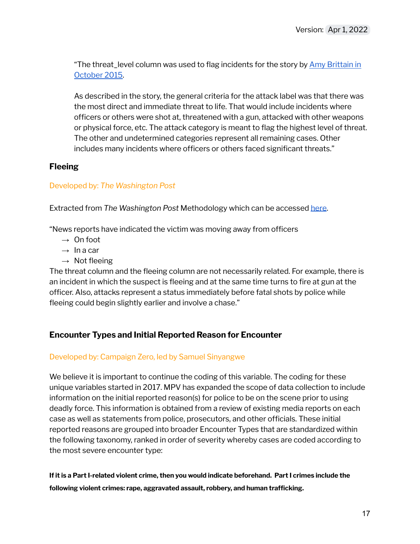"The threat\_level column was used to flag incidents for the story by Amy [Brittain](http://www.washingtonpost.com/sf/investigative/2015/10/24/on-duty-under-fire/) in [October](http://www.washingtonpost.com/sf/investigative/2015/10/24/on-duty-under-fire/) 2015.

As described in the story, the general criteria for the attack label was that there was the most direct and immediate threat to life. That would include incidents where officers or others were shot at, threatened with a gun, attacked with other weapons or physical force, etc. The attack category is meant to flag the highest level of threat. The other and undetermined categories represent all remaining cases. Other includes many incidents where officers or others faced significant threats."

#### <span id="page-17-0"></span>**Fleeing**

#### Developed by: *The Washington Post*

Extracted from *The Washington Post* Methodology which can be accessed [here](https://github.com/washingtonpost/data-police-shootings).

"News reports have indicated the victim was moving away from officers

- $\rightarrow$  On foot
- $\rightarrow$  In a car
- $\rightarrow$  Not fleeing

The threat column and the fleeing column are not necessarily related. For example, there is an incident in which the suspect is fleeing and at the same time turns to fire at gun at the officer. Also, attacks represent a status immediately before fatal shots by police while fleeing could begin slightly earlier and involve a chase."

#### <span id="page-17-1"></span>**Encounter Types and Initial Reported Reason for Encounter**

#### Developed by: Campaign Zero, led by Samuel Sinyangwe

We believe it is important to continue the coding of this variable. The coding for these unique variables started in 2017. MPV has expanded the scope of data collection to include information on the initial reported reason(s) for police to be on the scene prior to using deadly force. This information is obtained from a review of existing media reports on each case as well as statements from police, prosecutors, and other officials. These initial reported reasons are grouped into broader Encounter Types that are standardized within the following taxonomy, ranked in order of severity whereby cases are coded according to the most severe encounter type:

If it is a Part I-related violent crime, then you would indicate beforehand. Part I crimes include the **following violent crimes: rape, aggravated assault, robbery, and human trafficking.**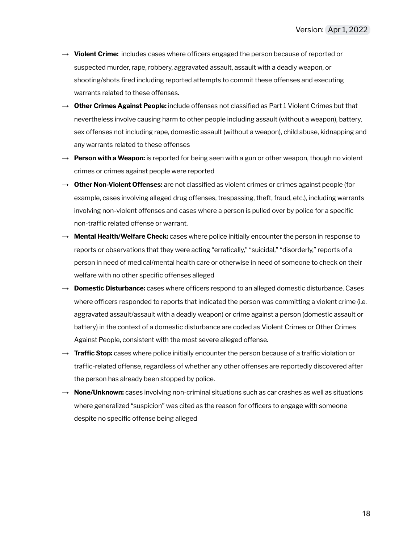- → **Violent Crime:** includes cases where officers engaged the person because of reported or suspected murder, rape, robbery, aggravated assault, assault with a deadly weapon, or shooting/shots fired including reported attempts to commit these offenses and executing warrants related to these offenses.
- → **Other Crimes Against People:** include offenses not classified as Part 1 Violent Crimes but that nevertheless involve causing harm to other people including assault (without a weapon), battery, sex offenses not including rape, domestic assault (without a weapon), child abuse, kidnapping and any warrants related to these offenses
- → **Person with a Weapon:** is reported for being seen with a gun or other weapon, though no violent crimes or crimes against people were reported
- → **Other Non-Violent Offenses:** are not classified as violent crimes or crimes against people (for example, cases involving alleged drug offenses, trespassing, theft, fraud, etc.), including warrants involving non-violent offenses and cases where a person is pulled over by police for a specific non-traffic related offense or warrant.
- → **Mental Health/Welfare Check:** cases where police initially encounter the person in response to reports or observations that they were acting "erratically," "suicidal," "disorderly," reports of a person in need of medical/mental health care or otherwise in need of someone to check on their welfare with no other specific offenses alleged
- → **Domestic Disturbance:** cases where officers respond to an alleged domestic disturbance. Cases where officers responded to reports that indicated the person was committing a violent crime (i.e. aggravated assault/assault with a deadly weapon) or crime against a person (domestic assault or battery) in the context of a domestic disturbance are coded as Violent Crimes or Other Crimes Against People, consistent with the most severe alleged offense.
- → **Traffic Stop:** cases where police initially encounter the person because of a traffic violation or traffic-related offense, regardless of whether any other offenses are reportedly discovered after the person has already been stopped by police.
- → **None/Unknown:** cases involving non-criminal situations such as car crashes as well as situations where generalized "suspicion" was cited as the reason for officers to engage with someone despite no specific offense being alleged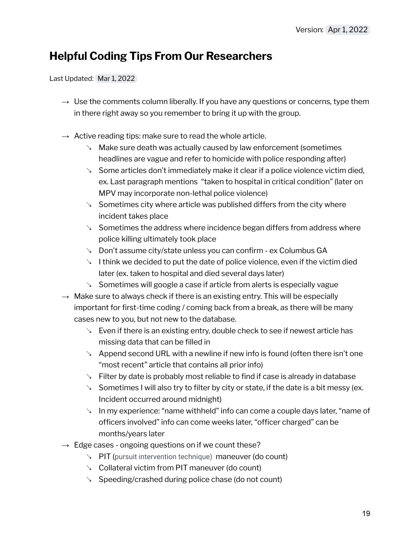### <span id="page-19-0"></span>**Helpful Coding Tips From Our Researchers**

#### Last Updated: Mar 1, 2022

- $\rightarrow$  Use the comments column liberally. If you have any questions or concerns, type them in there right away so you remember to bring it up with the group.
- $\rightarrow$  Active reading tips: make sure to read the whole article.
	- ↘ Make sure death was actually caused by law enforcement (sometimes headlines are vague and refer to homicide with police responding after)
	- $\sim$  Some articles don't immediately make it clear if a police violence victim died, ex. Last paragraph mentions "taken to hospital in critical condition" (later on MPV may incorporate non-lethal police violence)
	- ↘ Sometimes city where article was published differs from the city where incident takes place
	- ↘ Sometimes the address where incidence began differs from address where police killing ultimately took place
	- ↘ Don't assume city/state unless you can confirm ex Columbus GA
	- $\sim$  I think we decided to put the date of police violence, even if the victim died later (ex. taken to hospital and died several days later)
	- ↘ Sometimes will google a case if article from alerts is especially vague
- $\rightarrow$  Make sure to always check if there is an existing entry. This will be especially important for first-time coding / coming back from a break, as there will be many cases new to you, but not new to the database.
	- ↘ Even if there is an existing entry, double check to see if newest article has missing data that can be filled in
	- ↘ Append second URL with a newline if new info is found (often there isn't one "most recent" article that contains all prior info)
	- $\sim$  Filter by date is probably most reliable to find if case is already in database
	- $\searrow$  Sometimes I will also try to filter by city or state, if the date is a bit messy (ex. Incident occurred around midnight)
	- $\sim$  In my experience: "name withheld" info can come a couple days later, "name of officers involved" info can come weeks later, "officer charged" can be months/years later
- $\rightarrow$  Edge cases ongoing questions on if we count these?
	- ↘ PIT (pursuit intervention technique) maneuver (do count)
	- ↘ Collateral victim from PIT maneuver (do count)
	- ↘ Speeding/crashed during police chase (do not count)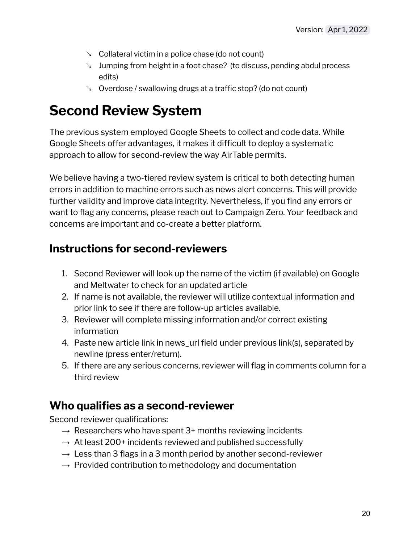- $\sim$  Collateral victim in a police chase (do not count)
- ↘ Jumping from height in a foot chase? (to discuss, pending abdul process edits)
- ↘ Overdose / swallowing drugs at a traffic stop? (do not count)

# <span id="page-20-0"></span>**Second Review System**

The previous system employed Google Sheets to collect and code data. While Google Sheets offer advantages, it makes it difficult to deploy a systematic approach to allow for second-review the way AirTable permits.

We believe having a two-tiered review system is critical to both detecting human errors in addition to machine errors such as news alert concerns. This will provide further validity and improve data integrity. Nevertheless, if you find any errors or want to flag any concerns, please reach out to Campaign Zero. Your feedback and concerns are important and co-create a better platform.

### **Instructions for second-reviewers**

- 1. Second Reviewer will look up the name of the victim (if available) on Google and Meltwater to check for an updated article
- 2. If name is not available, the reviewer will utilize contextual information and prior link to see if there are follow-up articles available.
- 3. Reviewer will complete missing information and/or correct existing information
- 4. Paste new article link in news\_url field under previous link(s), separated by newline (press enter/return).
- 5. If there are any serious concerns, reviewer will flag in comments column for a third review

### **Who qualifies as a second-reviewer**

Second reviewer qualifications:

- $\rightarrow$  Researchers who have spent 3+ months reviewing incidents
- $\rightarrow$  At least 200+ incidents reviewed and published successfully
- $\rightarrow$  Less than 3 flags in a 3 month period by another second-reviewer
- $\rightarrow$  Provided contribution to methodology and documentation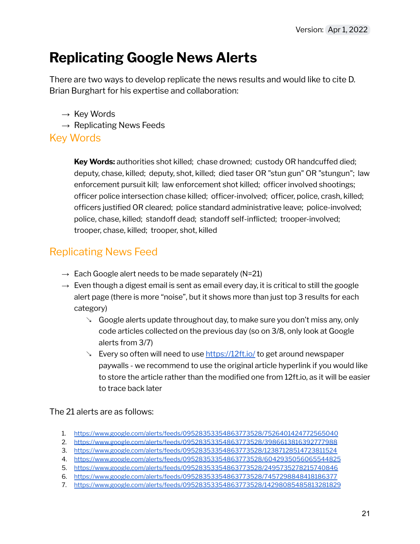# <span id="page-21-0"></span>**Replicating Google News Alerts**

There are two ways to develop replicate the news results and would like to cite D. Brian Burghart for his expertise and collaboration:

- $\rightarrow$  Key Words
- $\rightarrow$  Replicating News Feeds

#### Key Words

**Key Words:** authorities shot killed; chase drowned; custody OR handcuffed died; deputy, chase, killed; deputy, shot, killed; died taser OR "stun gun" OR "stungun"; law enforcement pursuit kill; law enforcement shot killed; officer involved shootings; officer police intersection chase killed; officer-involved; officer, police, crash, killed; officers justified OR cleared; police standard administrative leave; police-involved; police, chase, killed; standoff dead; standoff self-inflicted; trooper-involved; trooper, chase, killed; trooper, shot, killed

### Replicating News Feed

- $\rightarrow$  Each Google alert needs to be made separately (N=21)
- $\rightarrow$  Even though a digest email is sent as email every day, it is critical to still the google alert page (there is more "noise", but it shows more than just top 3 results for each category)
	- $\sim$  Google alerts update throughout day, to make sure you don't miss any, only code articles collected on the previous day (so on 3/8, only look at Google alerts from 3/7)
	- ↘ Every so often will need to use <https://12ft.io/> to get around newspaper paywalls - we recommend to use the original article hyperlink if you would like to store the article rather than the modified one from 12ft.io, as it will be easier to trace back later

The 21 alerts are as follows:

1. <https://www.google.com/alerts/feeds/09528353354863773528/7526401424772565040>

<sup>2.</sup> <https://www.google.com/alerts/feeds/09528353354863773528/3986613816392777988>

<sup>3.</sup> <https://www.google.com/alerts/feeds/09528353354863773528/12387128514723811524>

<sup>4.</sup> <https://www.google.com/alerts/feeds/09528353354863773528/6042935056065544825>

<sup>5.</sup> <https://www.google.com/alerts/feeds/09528353354863773528/2495735278215740846>

<sup>6.</sup> <https://www.google.com/alerts/feeds/09528353354863773528/7457298848418186377>

<sup>7.</sup> <https://www.google.com/alerts/feeds/09528353354863773528/14298085485813281829>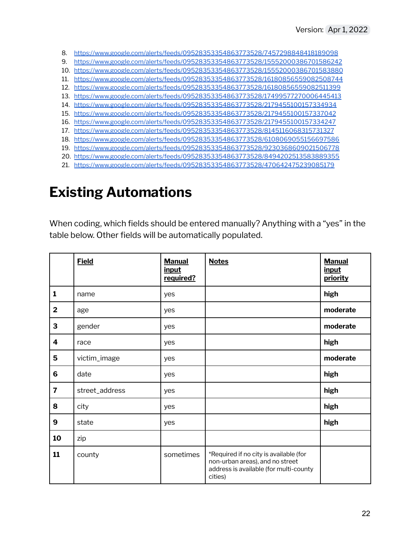- 8. <https://www.google.com/alerts/feeds/09528353354863773528/7457298848418189098>
- 9. <https://www.google.com/alerts/feeds/09528353354863773528/15552000386701586242>
- 10. <https://www.google.com/alerts/feeds/09528353354863773528/15552000386701583880>
- 11. <https://www.google.com/alerts/feeds/09528353354863773528/16180856559082508744>
- 12. <https://www.google.com/alerts/feeds/09528353354863773528/16180856559082511399>
- 13. <https://www.google.com/alerts/feeds/09528353354863773528/17499577270006445413>
- 14. <https://www.google.com/alerts/feeds/09528353354863773528/2179455100157334934> 15. <https://www.google.com/alerts/feeds/09528353354863773528/2179455100157337042>
- 16. <https://www.google.com/alerts/feeds/09528353354863773528/2179455100157334247>
- 17. <https://www.google.com/alerts/feeds/09528353354863773528/8145116068315731327>
- 18. <https://www.google.com/alerts/feeds/09528353354863773528/6108069055156697586>
- 19. <https://www.google.com/alerts/feeds/09528353354863773528/9230368609021506778>
- 20. <https://www.google.com/alerts/feeds/09528353354863773528/8494202513583889355>
- 21. <https://www.google.com/alerts/feeds/09528353354863773528/470642475239085179>

# <span id="page-22-0"></span>**Existing Automations**

When coding, which fields should be entered manually? Anything with a "yes" in the table below. Other fields will be automatically populated.

|                         | <b>Field</b>   | <b>Manual</b><br>input<br>required? | <b>Notes</b>                                                                                                                   | <b>Manual</b><br>input<br>priority |
|-------------------------|----------------|-------------------------------------|--------------------------------------------------------------------------------------------------------------------------------|------------------------------------|
| $\mathbf{1}$            | name           | yes                                 |                                                                                                                                | high                               |
| $\overline{2}$          | age            | yes                                 |                                                                                                                                | moderate                           |
| 3                       | gender         | yes                                 |                                                                                                                                | moderate                           |
| $\overline{\mathbf{4}}$ | race           | yes                                 |                                                                                                                                | high                               |
| 5                       | victim_image   | yes                                 |                                                                                                                                | moderate                           |
| 6                       | date           | yes                                 |                                                                                                                                | high                               |
| $\overline{\mathbf{z}}$ | street_address | yes                                 |                                                                                                                                | high                               |
| 8                       | city           | yes                                 |                                                                                                                                | high                               |
| 9                       | state          | yes                                 |                                                                                                                                | high                               |
| 10                      | zip            |                                     |                                                                                                                                |                                    |
| 11                      | county         | sometimes                           | *Required if no city is available (for<br>non-urban areas), and no street<br>address is available (for multi-county<br>cities) |                                    |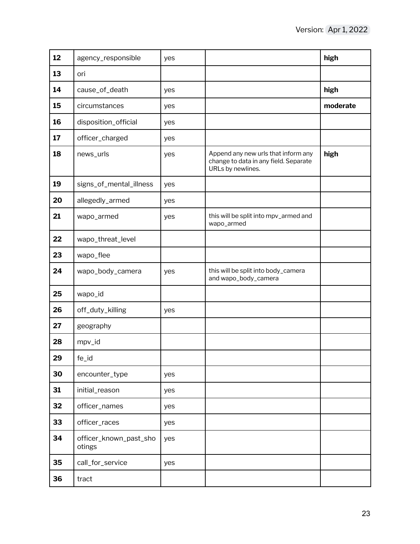| 12 | agency_responsible               | yes |                                                                                                   | high     |
|----|----------------------------------|-----|---------------------------------------------------------------------------------------------------|----------|
| 13 | ori                              |     |                                                                                                   |          |
| 14 | cause_of_death                   | yes |                                                                                                   | high     |
| 15 | circumstances                    | yes |                                                                                                   | moderate |
| 16 | disposition_official             | yes |                                                                                                   |          |
| 17 | officer_charged                  | yes |                                                                                                   |          |
| 18 | news_urls                        | yes | Append any new urls that inform any<br>change to data in any field. Separate<br>URLs by newlines. | high     |
| 19 | signs_of_mental_illness          | yes |                                                                                                   |          |
| 20 | allegedly_armed                  | yes |                                                                                                   |          |
| 21 | wapo_armed                       | yes | this will be split into mpv_armed and<br>wapo_armed                                               |          |
| 22 | wapo_threat_level                |     |                                                                                                   |          |
| 23 | wapo_flee                        |     |                                                                                                   |          |
| 24 | wapo_body_camera                 | yes | this will be split into body_camera<br>and wapo_body_camera                                       |          |
| 25 | wapo_id                          |     |                                                                                                   |          |
| 26 | off_duty_killing                 | yes |                                                                                                   |          |
| 27 | geography                        |     |                                                                                                   |          |
| 28 | mpv_id                           |     |                                                                                                   |          |
| 29 | fe_id                            |     |                                                                                                   |          |
| 30 | encounter_type                   | yes |                                                                                                   |          |
| 31 | initial_reason                   | yes |                                                                                                   |          |
| 32 | officer_names                    | yes |                                                                                                   |          |
| 33 | officer_races                    | yes |                                                                                                   |          |
| 34 | officer_known_past_sho<br>otings | yes |                                                                                                   |          |
| 35 | call_for_service                 | yes |                                                                                                   |          |
| 36 | tract                            |     |                                                                                                   |          |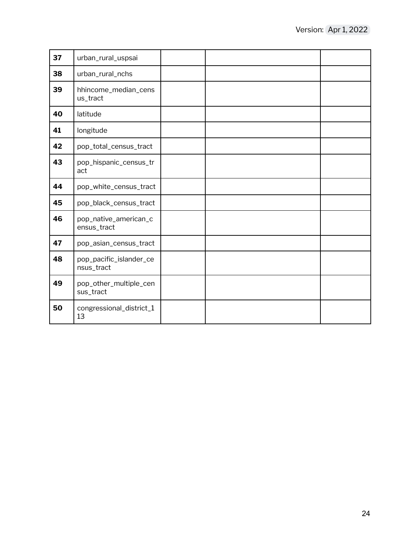| 37 | urban_rural_uspsai                    |  |  |
|----|---------------------------------------|--|--|
| 38 | urban_rural_nchs                      |  |  |
| 39 | hhincome_median_cens<br>us_tract      |  |  |
| 40 | latitude                              |  |  |
| 41 | longitude                             |  |  |
| 42 | pop_total_census_tract                |  |  |
| 43 | pop_hispanic_census_tr<br>act         |  |  |
| 44 | pop_white_census_tract                |  |  |
| 45 | pop_black_census_tract                |  |  |
| 46 | pop_native_american_c<br>ensus_tract  |  |  |
| 47 | pop_asian_census_tract                |  |  |
| 48 | pop_pacific_islander_ce<br>nsus_tract |  |  |
| 49 | pop_other_multiple_cen<br>sus_tract   |  |  |
| 50 | congressional_district_1<br>13        |  |  |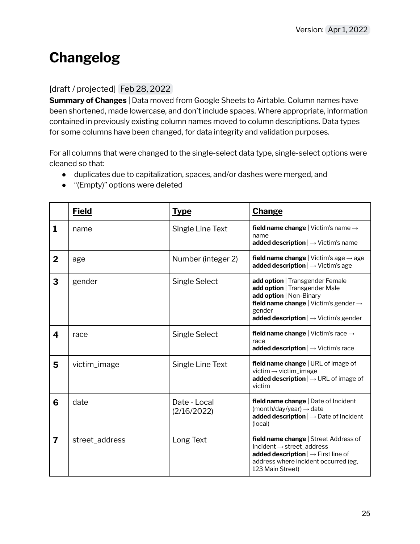# **Changelog**

#### [draft / projected] Feb 28, 2022]

**Summary of Changes** | Data moved from Google Sheets to Airtable. Column names have been shortened, made lowercase, and don't include spaces. Where appropriate, information contained in previously existing column names moved to column descriptions. Data types for some columns have been changed, for data integrity and validation purposes.

For all columns that were changed to the single-select data type, single-select options were cleaned so that:

- duplicates due to capitalization, spaces, and/or dashes were merged, and
- "(Empty)" options were deleted

|                | <b>Field</b>   | <b>Type</b>                 | <b>Change</b>                                                                                                                                                                                                        |
|----------------|----------------|-----------------------------|----------------------------------------------------------------------------------------------------------------------------------------------------------------------------------------------------------------------|
| $\mathbf{1}$   | name           | Single Line Text            | field name change   Victim's name $\rightarrow$<br>name<br>added description $  \rightarrow$ Victim's name                                                                                                           |
| $\overline{2}$ | age            | Number (integer 2)          | field name change   Victim's age $\rightarrow$ age<br><b>added description</b> $\rightarrow$ Victim's age                                                                                                            |
| 3              | gender         | Single Select               | add option   Transgender Female<br>add option   Transgender Male<br>add option   Non-Binary<br>field name change   Victim's gender $\rightarrow$<br>gender<br><b>added description</b> $\rightarrow$ Victim's gender |
| 4              | race           | Single Select               | field name change   Victim's race $\rightarrow$<br>race<br>added description $  \rightarrow$ Victim's race                                                                                                           |
| 5              | victim_image   | Single Line Text            | field name change   URL of image of<br>victim $\rightarrow$ victim_image<br>added description $  \rightarrow \text{URL of image of}$<br>victim                                                                       |
| 6              | date           | Date - Local<br>(2/16/2022) | field name change   Date of Incident<br>$(month/day/year) \rightarrow date$<br>added description $  \rightarrow$ Date of Incident<br>(local)                                                                         |
| $\overline{7}$ | street_address | Long Text                   | field name change   Street Address of<br>$Incident \rightarrow street\_address$<br>added description $  \rightarrow$ First line of<br>address where incident occurred (eg,<br>123 Main Street)                       |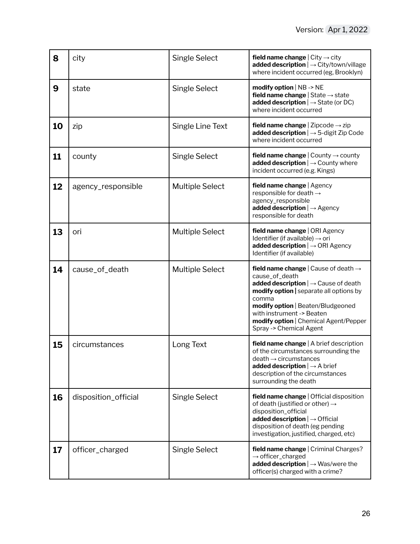| 8  | city                 | <b>Single Select</b>   | field name change $ $ City $\rightarrow$ city<br>added description $  \rightarrow$ City/town/village<br>where incident occurred (eg, Brooklyn)                                                                                                                                                                     |
|----|----------------------|------------------------|--------------------------------------------------------------------------------------------------------------------------------------------------------------------------------------------------------------------------------------------------------------------------------------------------------------------|
| 9  | state                | Single Select          | modify option $ NB - > NE$<br>field name change $ $ State $\rightarrow$ state<br><b>added description</b> $\rightarrow$ State (or DC)<br>where incident occurred                                                                                                                                                   |
| 10 | zip                  | Single Line Text       | field name change $ $ Zipcode $\rightarrow$ zip<br>added description $  \rightarrow 5$ -digit Zip Code<br>where incident occurred                                                                                                                                                                                  |
| 11 | county               | <b>Single Select</b>   | field name change $ $ County $\rightarrow$ county<br>added description $  \rightarrow$ County where<br>incident occurred (e.g. Kings)                                                                                                                                                                              |
| 12 | agency_responsible   | <b>Multiple Select</b> | field name change   Agency<br>responsible for death $\rightarrow$<br>agency_responsible<br>added description $  \rightarrow$ Agency<br>responsible for death                                                                                                                                                       |
| 13 | ori                  | <b>Multiple Select</b> | field name change   ORI Agency<br>Identifier (if available) $\rightarrow$ ori<br>added description $  \rightarrow$ ORI Agency<br>Identifier (if available)                                                                                                                                                         |
| 14 | cause_of_death       | <b>Multiple Select</b> | field name change $ $ Cause of death $\rightarrow$<br>cause_of_death<br>added description $  \rightarrow$ Cause of death<br>modify option   separate all options by<br>comma<br>modify option   Beaten/Bludgeoned<br>with instrument -> Beaten<br>modify option   Chemical Agent/Pepper<br>Spray -> Chemical Agent |
| 15 | circumstances        | Long Text              | field name change   A brief description<br>of the circumstances surrounding the<br>$death \rightarrow circumstances$<br>added description $  \rightarrow A$ brief<br>description of the circumstances<br>surrounding the death                                                                                     |
| 16 | disposition_official | Single Select          | field name change   Official disposition<br>of death (justified or other) $\rightarrow$<br>disposition_official<br>added description $  \rightarrow$ Official<br>disposition of death (eg pending<br>investigation, justified, charged, etc)                                                                       |
| 17 | officer_charged      | <b>Single Select</b>   | field name change   Criminal Charges?<br>$\rightarrow$ officer_charged<br>added description $  \rightarrow$ Was/were the<br>officer(s) charged with a crime?                                                                                                                                                       |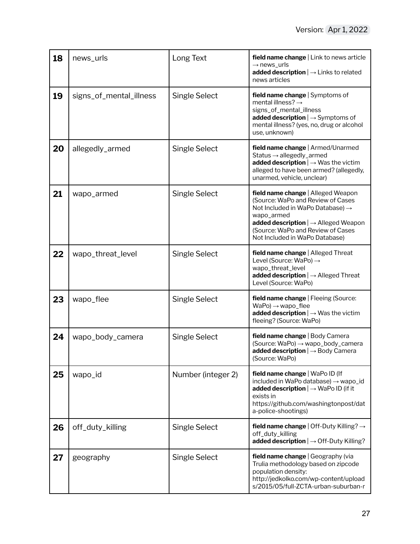| 18 | news_urls               | Long Text            | field name change   Link to news article<br>$\rightarrow$ news_urls<br>added description $  \rightarrow L$ inks to related<br>news articles                                                                                                                       |
|----|-------------------------|----------------------|-------------------------------------------------------------------------------------------------------------------------------------------------------------------------------------------------------------------------------------------------------------------|
| 19 | signs_of_mental_illness | Single Select        | field name change   Symptoms of<br>mental illness? $\rightarrow$<br>signs_of_mental_illness<br>added description $  \rightarrow$ Symptoms of<br>mental illness? (yes, no, drug or alcohol<br>use, unknown)                                                        |
| 20 | allegedly_armed         | <b>Single Select</b> | field name change   Armed/Unarmed<br>Status $\rightarrow$ allegedly_armed<br>added description $  \rightarrow$ Was the victim<br>alleged to have been armed? (allegedly,<br>unarmed, vehicle, unclear)                                                            |
| 21 | wapo_armed              | <b>Single Select</b> | field name change   Alleged Weapon<br>(Source: WaPo and Review of Cases<br>Not Included in WaPo Database) $\rightarrow$<br>wapo_armed<br>added description $  \rightarrow A$ lleged Weapon<br>(Source: WaPo and Review of Cases<br>Not Included in WaPo Database) |
| 22 | wapo_threat_level       | Single Select        | field name change   Alleged Threat<br>Level (Source: WaPo) $\rightarrow$<br>wapo_threat_level<br>added description $  \rightarrow A$ lleged Threat<br>Level (Source: WaPo)                                                                                        |
| 23 | wapo_flee               | Single Select        | field name change   Fleeing (Source:<br>$WaPo) \rightarrow wapo_{f}lee$<br>added description $  \rightarrow$ Was the victim<br>fleeing? (Source: WaPo)                                                                                                            |
| 24 | wapo_body_camera        | <b>Single Select</b> | field name change   Body Camera<br>(Source: WaPo) → wapo_body_camera<br><b>added description</b> $\rightarrow$ Body Camera<br>(Source: WaPo)                                                                                                                      |
| 25 | wapo_id                 | Number (integer 2)   | field name change   WaPo ID (If<br>included in WaPo database) → wapo_id<br>added description $  \rightarrow$ WaPo ID (if it<br>exists in<br>https://github.com/washingtonpost/dat<br>a-police-shootings)                                                          |
| 26 | off_duty_killing        | Single Select        | field name change   Off-Duty Killing? $\rightarrow$<br>off_duty_killing<br>added description $  \rightarrow$ Off-Duty Killing?                                                                                                                                    |
| 27 | geography               | <b>Single Select</b> | field name change   Geography (via<br>Trulia methodology based on zipcode<br>population density:<br>http://jedkolko.com/wp-content/upload<br>s/2015/05/full-ZCTA-urban-suburban-r                                                                                 |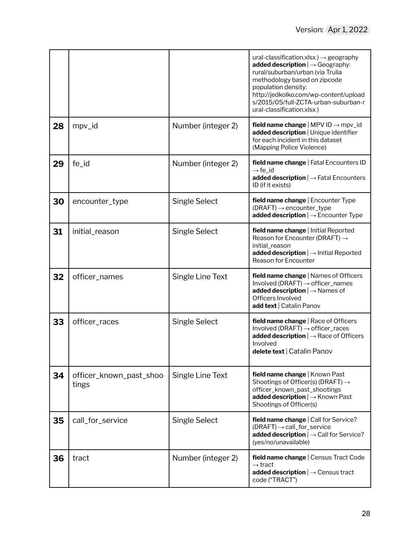|    |                                  |                      | ural-classification.xlsx) $\rightarrow$ geography<br>added description $  \rightarrow$ Geography:<br>rural/suburban/urban (via Trulia<br>methodology based on zipcode<br>population density:<br>http://jedkolko.com/wp-content/upload<br>s/2015/05/full-ZCTA-urban-suburban-r<br>ural-classification.xlsx) |
|----|----------------------------------|----------------------|------------------------------------------------------------------------------------------------------------------------------------------------------------------------------------------------------------------------------------------------------------------------------------------------------------|
| 28 | mpv_id                           | Number (integer 2)   | field name change   MPV ID $\rightarrow$ mpv_id<br>added description   Unique identifier<br>for each incident in this dataset<br>(Mapping Police Violence)                                                                                                                                                 |
| 29 | fe_id                            | Number (integer 2)   | field name change   Fatal Encounters ID<br>$\rightarrow$ fe_id<br>added description $  \rightarrow$ Fatal Encounters<br>ID (if it exists)                                                                                                                                                                  |
| 30 | encounter_type                   | Single Select        | field name change   Encounter Type<br>$(DRAFT) \rightarrow encounter\_type$<br>added description $  \rightarrow$ Encounter Type                                                                                                                                                                            |
| 31 | initial_reason                   | <b>Single Select</b> | field name change   Initial Reported<br>Reason for Encounter (DRAFT) $\rightarrow$<br>initial_reason<br>added description $  \rightarrow$ Initial Reported<br>Reason for Encounter                                                                                                                         |
| 32 | officer_names                    | Single Line Text     | field name change   Names of Officers<br>Involved (DRAFT) $\rightarrow$ officer_names<br><b>added description</b> $\rightarrow$ Names of<br>Officers Involved<br>add text   Catalin Panov                                                                                                                  |
| 33 | officer_races                    | Single Select        | field name change   Race of Officers<br>Involved (DRAFT) $\rightarrow$ officer_races<br><b>added description</b> $\rightarrow$ Race of Officers<br>Involved<br>delete text   Catalin Panov                                                                                                                 |
| 34 | officer_known_past_shoo<br>tings | Single Line Text     | field name change   Known Past<br>Shootings of Officer(s) (DRAFT) $\rightarrow$<br>officer_known_past_shootings<br>added description $  \rightarrow$ Known Past<br>Shootings of Officer(s)                                                                                                                 |
| 35 | call_for_service                 | Single Select        | field name change   Call for Service?<br>$(DRAFT) \rightarrow call_for_s$ ervice<br>added description $  \rightarrow$ Call for Service?<br>(yes/no/unavailable)                                                                                                                                            |
| 36 | tract                            | Number (integer 2)   | field name change   Census Tract Code<br>$\rightarrow$ tract<br><b>added description</b> $\rightarrow$ Census tract<br>code ("TRACT")                                                                                                                                                                      |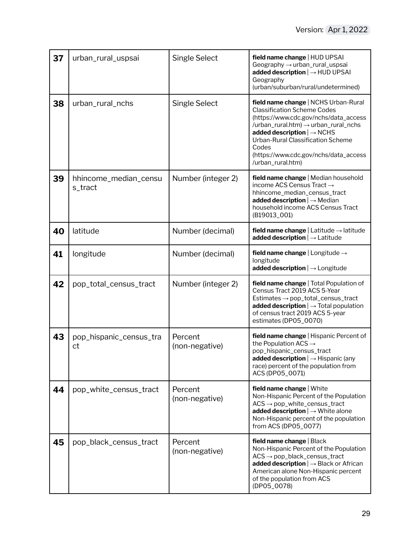| 37 | urban_rural_uspsai               | <b>Single Select</b>      | field name change   HUD UPSAI<br>Geography $\rightarrow$ urban_rural_uspsai<br>added description $  \rightarrow HUD$ UPSAI<br>Geography<br>(urban/suburban/rural/undetermined)                                                                                                                                                           |
|----|----------------------------------|---------------------------|------------------------------------------------------------------------------------------------------------------------------------------------------------------------------------------------------------------------------------------------------------------------------------------------------------------------------------------|
| 38 | urban_rural_nchs                 | <b>Single Select</b>      | field name change   NCHS Urban-Rural<br><b>Classification Scheme Codes</b><br>(https://www.cdc.gov/nchs/data_access<br>/urban_rural.htm) $\rightarrow$ urban_rural_nchs<br>added description $\vert \rightarrow$ NCHS<br><b>Urban-Rural Classification Scheme</b><br>Codes<br>(https://www.cdc.gov/nchs/data_access<br>/urban_rural.htm) |
| 39 | hhincome_median_censu<br>s_tract | Number (integer 2)        | field name change   Median household<br>income ACS Census Tract →<br>hhincome_median_census_tract<br>added description $  \rightarrow$ Median<br>household income ACS Census Tract<br>(B19013_001)                                                                                                                                       |
| 40 | latitude                         | Number (decimal)          | field name change   Latitude $\rightarrow$ latitude<br>added description $  \rightarrow$ Latitude                                                                                                                                                                                                                                        |
| 41 | longitude                        | Number (decimal)          | field name change   Longitude $\rightarrow$<br>longitude<br>added description $  \rightarrow$ Longitude                                                                                                                                                                                                                                  |
| 42 | pop_total_census_tract           | Number (integer 2)        | field name change   Total Population of<br>Census Tract 2019 ACS 5-Year<br>$Estimates \rightarrow pop\_total\_census\_tract$<br>added description $  \rightarrow$ Total population<br>of census tract 2019 ACS 5-year<br>estimates (DP05_0070)                                                                                           |
| 43 | pop_hispanic_census_tra<br>ct    | Percent<br>(non-negative) | field name change   Hispanic Percent of<br>the Population ACS $\rightarrow$<br>pop_hispanic_census_tract<br><b>added description</b> $\rightarrow$ Hispanic (any<br>race) percent of the population from<br>ACS (DP05_0071)                                                                                                              |
| 44 | pop_white_census_tract           | Percent<br>(non-negative) | field name change   White<br>Non-Hispanic Percent of the Population<br>$ACS \rightarrow pop\_white\_census\_tract$<br>added description $  \rightarrow$ White alone<br>Non-Hispanic percent of the population<br>from ACS (DP05_0077)                                                                                                    |
| 45 | pop_black_census_tract           | Percent<br>(non-negative) | field name change   Black<br>Non-Hispanic Percent of the Population<br>$ACS \rightarrow pop\_black\_census\_tract$<br>added description $  \rightarrow$ Black or African<br>American alone Non-Hispanic percent<br>of the population from ACS<br>(DP05_0078)                                                                             |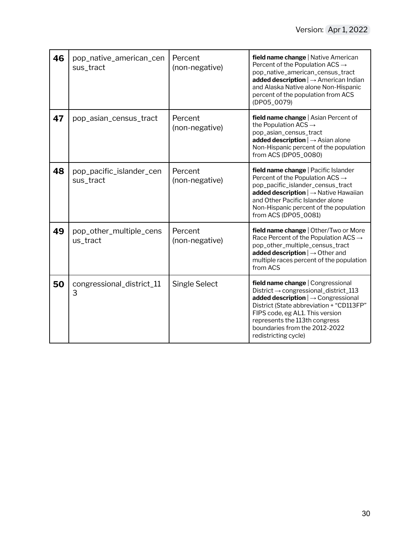| 46 | pop_native_american_cen<br>sus_tract  | Percent<br>(non-negative) | field name change   Native American<br>Percent of the Population ACS $\rightarrow$<br>pop_native_american_census_tract<br>added description $  \rightarrow$ American Indian<br>and Alaska Native alone Non-Hispanic<br>percent of the population from ACS<br>(DP05_0079)                                           |
|----|---------------------------------------|---------------------------|--------------------------------------------------------------------------------------------------------------------------------------------------------------------------------------------------------------------------------------------------------------------------------------------------------------------|
| 47 | pop_asian_census_tract                | Percent<br>(non-negative) | field name change   Asian Percent of<br>the Population ACS $\rightarrow$<br>pop_asian_census_tract<br><b>added description</b> $  \rightarrow A$ sian alone<br>Non-Hispanic percent of the population<br>from ACS (DP05_0080)                                                                                      |
| 48 | pop_pacific_islander_cen<br>sus_tract | Percent<br>(non-negative) | field name change   Pacific Islander<br>Percent of the Population ACS $\rightarrow$<br>pop_pacific_islander_census_tract<br>added description $  \rightarrow$ Native Hawaiian<br>and Other Pacific Islander alone<br>Non-Hispanic percent of the population<br>from ACS (DP05_0081)                                |
| 49 | pop_other_multiple_cens<br>us_tract   | Percent<br>(non-negative) | field name change   Other/Two or More<br>Race Percent of the Population ACS $\rightarrow$<br>pop_other_multiple_census_tract<br>added description $  \rightarrow$ Other and<br>multiple races percent of the population<br>from ACS                                                                                |
| 50 | congressional_district_11<br>3        | <b>Single Select</b>      | field name change   Congressional<br>District $\rightarrow$ congressional_district_113<br>added description $  \rightarrow$ Congressional<br>District (State abbreviation + "CD113FP"<br>FIPS code, eg AL1. This version<br>represents the 113th congress<br>boundaries from the 2012-2022<br>redistricting cycle) |